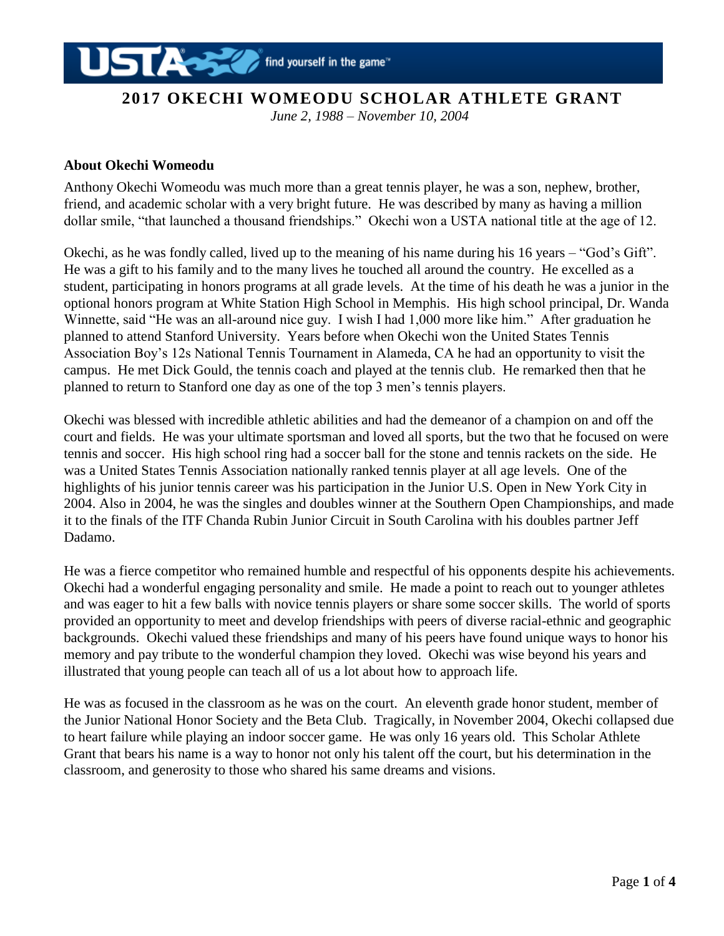

*June 2, 1988 – November 10, 2004*

### **About Okechi Womeodu**

Anthony Okechi Womeodu was much more than a great tennis player, he was a son, nephew, brother, friend, and academic scholar with a very bright future. He was described by many as having a million dollar smile, "that launched a thousand friendships." Okechi won a USTA national title at the age of 12.

Okechi, as he was fondly called, lived up to the meaning of his name during his 16 years – "God's Gift". He was a gift to his family and to the many lives he touched all around the country. He excelled as a student, participating in honors programs at all grade levels. At the time of his death he was a junior in the optional honors program at White Station High School in Memphis. His high school principal, Dr. Wanda Winnette, said "He was an all-around nice guy. I wish I had 1,000 more like him." After graduation he planned to attend Stanford University. Years before when Okechi won the United States Tennis Association Boy's 12s National Tennis Tournament in Alameda, CA he had an opportunity to visit the campus. He met Dick Gould, the tennis coach and played at the tennis club. He remarked then that he planned to return to Stanford one day as one of the top 3 men's tennis players.

Okechi was blessed with incredible athletic abilities and had the demeanor of a champion on and off the court and fields. He was your ultimate sportsman and loved all sports, but the two that he focused on were tennis and soccer. His high school ring had a soccer ball for the stone and tennis rackets on the side. He was a United States Tennis Association nationally ranked tennis player at all age levels. One of the highlights of his junior tennis career was his participation in the Junior U.S. Open in New York City in 2004. Also in 2004, he was the singles and doubles winner at the Southern Open Championships, and made it to the finals of the ITF Chanda Rubin Junior Circuit in South Carolina with his doubles partner Jeff Dadamo.

He was a fierce competitor who remained humble and respectful of his opponents despite his achievements. Okechi had a wonderful engaging personality and smile. He made a point to reach out to younger athletes and was eager to hit a few balls with novice tennis players or share some soccer skills. The world of sports provided an opportunity to meet and develop friendships with peers of diverse racial-ethnic and geographic backgrounds. Okechi valued these friendships and many of his peers have found unique ways to honor his memory and pay tribute to the wonderful champion they loved. Okechi was wise beyond his years and illustrated that young people can teach all of us a lot about how to approach life.

He was as focused in the classroom as he was on the court. An eleventh grade honor student, member of the Junior National Honor Society and the Beta Club. Tragically, in November 2004, Okechi collapsed due to heart failure while playing an indoor soccer game. He was only 16 years old. This Scholar Athlete Grant that bears his name is a way to honor not only his talent off the court, but his determination in the classroom, and generosity to those who shared his same dreams and visions.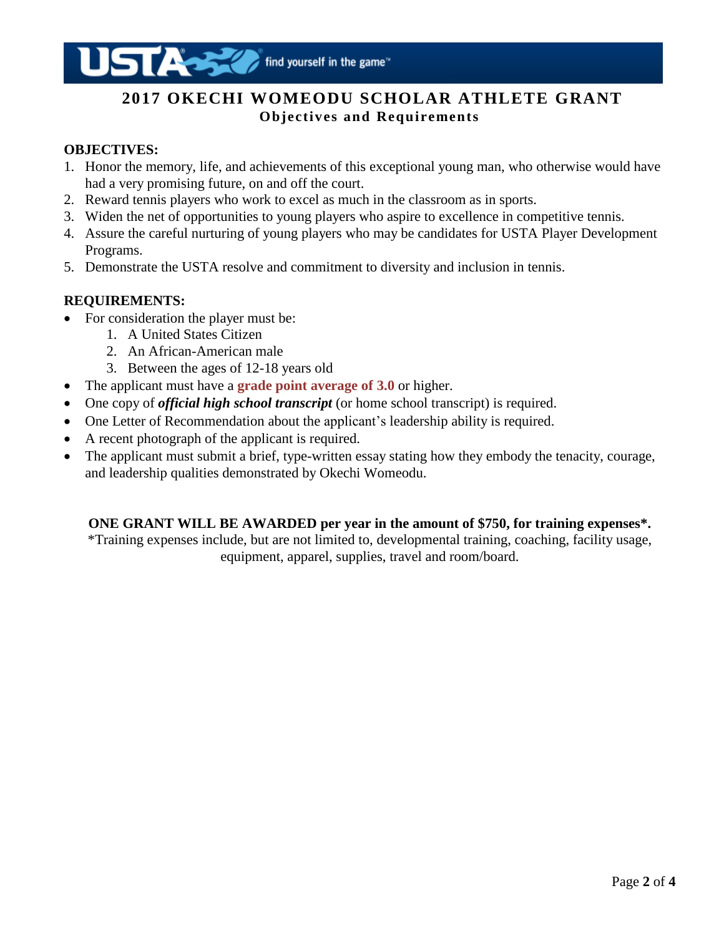# **2017 OKECHI WOMEODU SCHOLAR ATHLETE GRANT Objectives and Requirements**

## **OBJECTIVES:**

- 1. Honor the memory, life, and achievements of this exceptional young man, who otherwise would have had a very promising future, on and off the court.
- 2. Reward tennis players who work to excel as much in the classroom as in sports.
- 3. Widen the net of opportunities to young players who aspire to excellence in competitive tennis.
- 4. Assure the careful nurturing of young players who may be candidates for USTA Player Development Programs.
- 5. Demonstrate the USTA resolve and commitment to diversity and inclusion in tennis.

## **REQUIREMENTS:**

- For consideration the player must be:
	- 1. A United States Citizen
	- 2. An African-American male
	- 3. Between the ages of 12-18 years old
- The applicant must have a **grade point average of 3.0** or higher.
- One copy of *official high school transcript* (or home school transcript) is required.
- One Letter of Recommendation about the applicant's leadership ability is required.
- A recent photograph of the applicant is required.
- The applicant must submit a brief, type-written essay stating how they embody the tenacity, courage, and leadership qualities demonstrated by Okechi Womeodu.

### **ONE GRANT WILL BE AWARDED per year in the amount of \$750, for training expenses\*.**

\*Training expenses include, but are not limited to, developmental training, coaching, facility usage, equipment, apparel, supplies, travel and room/board.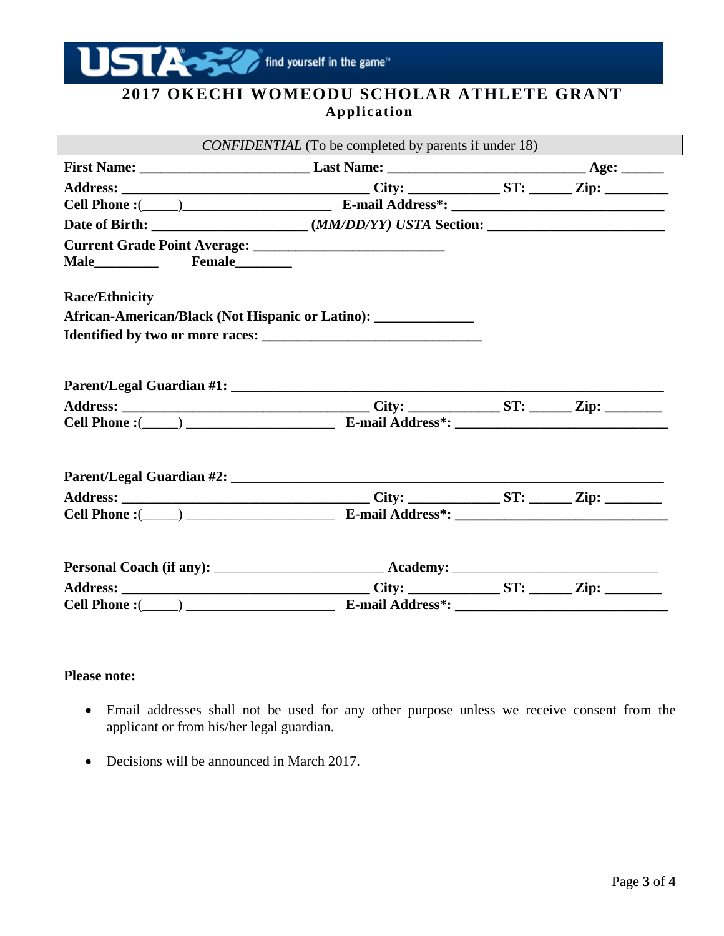

## **2017 OKECHI WOMEODU SCHOLAR ATHLETE GRANT Application**

| <i>CONFIDENTIAL</i> (To be completed by parents if under 18)     |  |  |  |  |
|------------------------------------------------------------------|--|--|--|--|
|                                                                  |  |  |  |  |
|                                                                  |  |  |  |  |
|                                                                  |  |  |  |  |
|                                                                  |  |  |  |  |
|                                                                  |  |  |  |  |
|                                                                  |  |  |  |  |
|                                                                  |  |  |  |  |
| <b>Race/Ethnicity</b>                                            |  |  |  |  |
| African-American/Black (Not Hispanic or Latino): _______________ |  |  |  |  |
|                                                                  |  |  |  |  |
|                                                                  |  |  |  |  |
|                                                                  |  |  |  |  |
|                                                                  |  |  |  |  |
|                                                                  |  |  |  |  |
|                                                                  |  |  |  |  |
|                                                                  |  |  |  |  |
|                                                                  |  |  |  |  |
|                                                                  |  |  |  |  |
|                                                                  |  |  |  |  |
|                                                                  |  |  |  |  |
|                                                                  |  |  |  |  |
|                                                                  |  |  |  |  |
|                                                                  |  |  |  |  |
|                                                                  |  |  |  |  |

### **Please note:**

- Email addresses shall not be used for any other purpose unless we receive consent from the applicant or from his/her legal guardian.
- Decisions will be announced in March 2017.